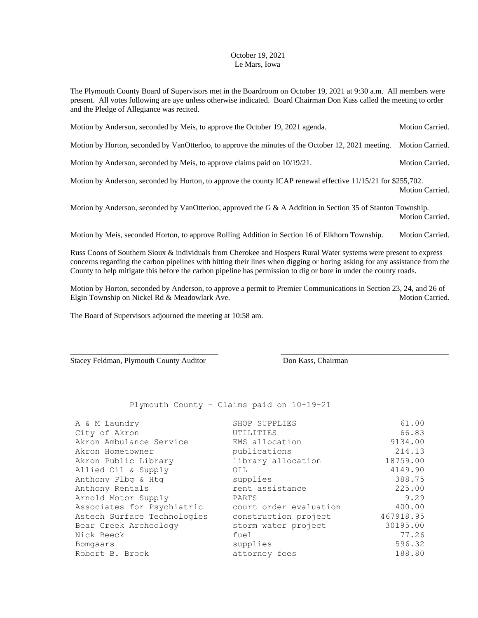## October 19, 2021 Le Mars, Iowa

The Plymouth County Board of Supervisors met in the Boardroom on October 19, 2021 at 9:30 a.m. All members were present. All votes following are aye unless otherwise indicated. Board Chairman Don Kass called the meeting to order and the Pledge of Allegiance was recited.

Motion by Anderson, seconded by Meis, to approve the October 19, 2021 agenda. Motion Carried.

Motion by Horton, seconded by VanOtterloo, to approve the minutes of the October 12, 2021 meeting. Motion Carried.

Motion by Anderson, seconded by Meis, to approve claims paid on  $10/19/21$ . Motion Carried.

Motion by Anderson, seconded by Horton, to approve the county ICAP renewal effective 11/15/21 for \$255,702. Motion Carried.

Motion by Anderson, seconded by VanOtterloo, approved the G & A Addition in Section 35 of Stanton Township. Motion Carried.

Motion by Meis, seconded Horton, to approve Rolling Addition in Section 16 of Elkhorn Township. Motion Carried.

Russ Coons of Southern Sioux & individuals from Cherokee and Hospers Rural Water systems were present to express concerns regarding the carbon pipelines with hitting their lines when digging or boring asking for any assistance from the County to help mitigate this before the carbon pipeline has permission to dig or bore in under the county roads.

Motion by Horton, seconded by Anderson, to approve a permit to Premier Communications in Section 23, 24, and 26 of Elgin Township on Nickel Rd & Meadowlark Ave. Motion Carried. Motion Carried.

\_\_\_\_\_\_\_\_\_\_\_\_\_\_\_\_\_\_\_\_\_\_\_\_\_\_\_\_\_\_\_\_\_\_\_\_\_\_ \_\_\_\_\_\_\_\_\_\_\_\_\_\_\_\_\_\_\_\_\_\_\_\_\_\_\_\_\_\_\_\_\_\_\_\_\_\_\_\_\_\_\_

The Board of Supervisors adjourned the meeting at 10:58 am.

Stacey Feldman, Plymouth County Auditor Don Kass, Chairman

Plymouth County – Claims paid on 10-19-21

| A & M Laundry<br>City of Akron | SHOP SUPPLIES<br>UTILITIES | 61.00<br>66.83 |
|--------------------------------|----------------------------|----------------|
| Akron Ambulance Service        | EMS allocation             | 9134.00        |
| Akron Hometowner               | publications               | 214.13         |
| Akron Public Library           | library allocation         | 18759.00       |
| Allied Oil & Supply            | OIL                        | 4149.90        |
| Anthony Plbg & Htg             | supplies                   | 388.75         |
| Anthony Rentals                | rent assistance            | 225.00         |
| Arnold Motor Supply            | PARTS                      | 9.29           |
| Associates for Psychiatric     | court order evaluation     | 400.00         |
| Astech Surface Technologies    | construction project       | 467918.95      |
| Bear Creek Archeology          | storm water project        | 30195.00       |
| Nick Beeck                     | fuel                       | 77.26          |
| Bomgaars                       | supplies                   | 596.32         |
| Robert B. Brock                | attorney fees              | 188.80         |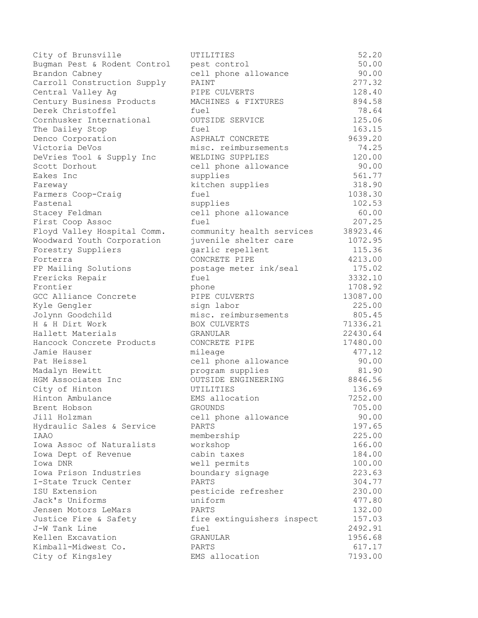| City of Brunsville                       | UTILITIES                          | 52.20    |
|------------------------------------------|------------------------------------|----------|
| Bugman Pest & Rodent Control             | pest control                       | 50.00    |
| Brandon Cabney                           | cell phone allowance               | 90.00    |
| Carroll Construction Supply              | PAINT                              | 277.32   |
| Central Valley Ag                        | PIPE CULVERTS                      | 128.40   |
| Century Business Products                | MACHINES & FIXTURES                | 894.58   |
| Derek Christoffel                        | fuel                               | 78.64    |
| Cornhusker International                 | OUTSIDE SERVICE                    | 125.06   |
| The Dailey Stop                          | fuel                               | 163.15   |
| Denco Corporation                        | ASPHALT CONCRETE                   | 9639.20  |
| Victoria DeVos                           | misc. reimbursements               | 74.25    |
| DeVries Tool & Supply Inc                | WELDING SUPPLIES                   | 120.00   |
| Scott Dorhout                            | cell phone allowance               | 90.00    |
| Eakes Inc                                | supplies                           | 561.77   |
| Fareway                                  | kitchen supplies                   | 318.90   |
| Farmers Coop-Craig                       | fuel                               | 1038.30  |
| Fastenal                                 | supplies                           | 102.53   |
| Stacey Feldman                           | cell phone allowance               | 60.00    |
| First Coop Assoc                         | fuel                               | 207.25   |
| Floyd Valley Hospital Comm.              | community health services          | 38923.46 |
| Woodward Youth Corporation               | juvenile shelter care              | 1072.95  |
| Forestry Suppliers                       | garlic repellent                   | 115.36   |
| Forterra                                 | CONCRETE PIPE                      | 4213.00  |
| FP Mailing Solutions                     | postage meter ink/seal             | 175.02   |
| Frericks Repair                          | fuel                               | 3332.10  |
| Frontier                                 | phone                              | 1708.92  |
| GCC Alliance Concrete                    | PIPE CULVERTS                      | 13087.00 |
| Kyle Gengler                             | sign labor                         | 225.00   |
| Jolynn Goodchild                         | misc. reimbursements               | 805.45   |
| H & H Dirt Work                          | BOX CULVERTS                       | 71336.21 |
| Hallett Materials                        | GRANULAR                           | 22430.64 |
| Hancock Concrete Products                | CONCRETE PIPE                      | 17480.00 |
| Jamie Hauser                             | mileage                            | 477.12   |
| Pat Heissel                              | cell phone allowance               | 90.00    |
| Madalyn Hewitt                           | program supplies                   | 81.90    |
| HGM Associates Inc                       | OUTSIDE ENGINEERING                | 8846.56  |
| City of Hinton                           | UTILITIES                          | 136.69   |
| Hinton Ambulance                         | EMS allocation                     | 7252.00  |
| Brent Hobson                             | <b>GROUNDS</b>                     | 705.00   |
| Jill Holzman                             | cell phone allowance               | 90.00    |
| Hydraulic Sales & Service                | <b>PARTS</b>                       | 197.65   |
| <b>TAAO</b>                              | membership                         | 225.00   |
| Iowa Assoc of Naturalists                | workshop                           | 166.00   |
| Iowa Dept of Revenue                     | cabin taxes                        | 184.00   |
| Iowa DNR                                 | well permits                       | 100.00   |
| Iowa Prison Industries                   | boundary signage                   | 223.63   |
| I-State Truck Center                     | PARTS                              | 304.77   |
| ISU Extension                            | pesticide refresher                | 230.00   |
| Jack's Uniforms                          | uniform                            | 477.80   |
| Jensen Motors LeMars                     | PARTS                              | 132.00   |
| Justice Fire & Safety                    |                                    | 157.03   |
| J-W Tank Line                            | fire extinguishers inspect<br>fuel | 2492.91  |
|                                          |                                    | 1956.68  |
| Kellen Excavation<br>Kimball-Midwest Co. | GRANULAR<br>PARTS                  | 617.17   |
| City of Kingsley                         | EMS allocation                     | 7193.00  |
|                                          |                                    |          |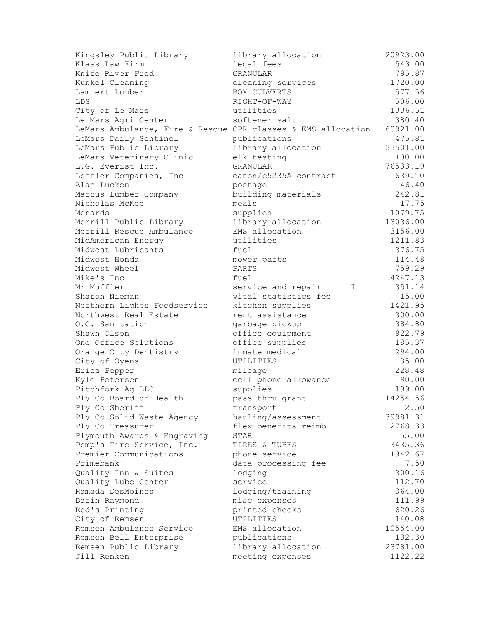| Kingsley Public Library                                      | library allocation       | 20923.00 |
|--------------------------------------------------------------|--------------------------|----------|
| Klass Law Firm                                               | legal fees               | 543.00   |
| Knife River Fred                                             | GRANULAR                 | 795.87   |
| Kunkel Cleaning                                              | cleaning services        | 1720.00  |
| Lampert Lumber                                               | BOX CULVERTS             | 577.56   |
| LDS                                                          | RIGHT-OF-WAY             | 506.00   |
| City of Le Mars                                              | utilities                | 1336.51  |
| Le Mars Agri Center                                          | softener salt            | 380.40   |
| LeMars Ambulance, Fire & Rescue CPR classes & EMS allocation |                          | 60921.00 |
| LeMars Daily Sentinel                                        | publications             | 475.81   |
| LeMars Public Library                                        | library allocation       | 33501.00 |
| LeMars Veterinary Clinic                                     | elk testing              | 100.00   |
| L.G. Everist Inc.                                            | <b>GRANULAR</b>          | 76533.19 |
| Loffler Companies, Inc                                       | canon/c5235A contract    | 639.10   |
| Alan Lucken                                                  | postage                  | 46.40    |
| Marcus Lumber Company                                        | building materials       | 242.81   |
| Nicholas McKee                                               | meals                    | 17.75    |
| Menards                                                      | supplies                 | 1079.75  |
| Merrill Public Library                                       | library allocation       | 13036.00 |
| Merrill Rescue Ambulance                                     | EMS allocation           | 3156.00  |
| MidAmerican Energy                                           | utilities                | 1211.83  |
| Midwest Lubricants                                           | fuel                     | 376.75   |
| Midwest Honda                                                | mower parts              | 114.48   |
| Midwest Wheel                                                | PARTS                    | 759.29   |
| Mike's Inc                                                   | fuel                     | 4247.13  |
| Mr Muffler                                                   | service and repair<br>I. | 351.14   |
| Sharon Nieman                                                | vital statistics fee     | 15.00    |
| Northern Lights Foodservice                                  | kitchen supplies         | 1421.95  |
| Northwest Real Estate                                        | rent assistance          | 300.00   |
| O.C. Sanitation                                              | garbage pickup           | 384.80   |
| Shawn Olson                                                  | office equipment         | 922.79   |
| One Office Solutions                                         | office supplies          | 185.37   |
| Orange City Dentistry                                        | inmate medical           | 294.00   |
| City of Oyens                                                | UTILITIES                | 35.00    |
| Erica Pepper                                                 | mileage                  | 228.48   |
| Kyle Petersen                                                | cell phone allowance     | 90.00    |
| Pitchfork Ag LLC                                             | supplies                 | 199.00   |
| Ply Co Board of Health                                       | pass thru grant          | 14254.56 |
| Ply Co Sheriff                                               | transport                | 2.50     |
| Ply Co Solid Waste Agency                                    | hauling/assessment       | 39981.31 |
| Ply Co Treasurer                                             | flex benefits reimb      | 2768.33  |
| Plymouth Awards & Engraving                                  | STAR                     | 55.00    |
| Pomp's Tire Service, Inc.                                    | TIRES & TUBES            | 3435.36  |
| Premier Communications                                       | phone service            | 1942.67  |
| Primebank                                                    | data processing fee      | 7.50     |
| Quality Inn & Suites                                         | lodging                  | 300.16   |
| Quality Lube Center                                          | service                  | 112.70   |
| Ramada DesMoines                                             | lodging/training         | 364.00   |
| Darin Raymond                                                | misc expenses            | 111.99   |
| Red's Printing                                               | printed checks           | 620.26   |
| City of Remsen                                               | UTILITIES                | 140.08   |
| Remsen Ambulance Service                                     | EMS allocation           | 10554.00 |
| Remsen Bell Enterprise                                       | publications             | 132.30   |
| Remsen Public Library                                        | library allocation       | 23781.00 |
| Jill Renken                                                  | meeting expenses         | 1122.22  |